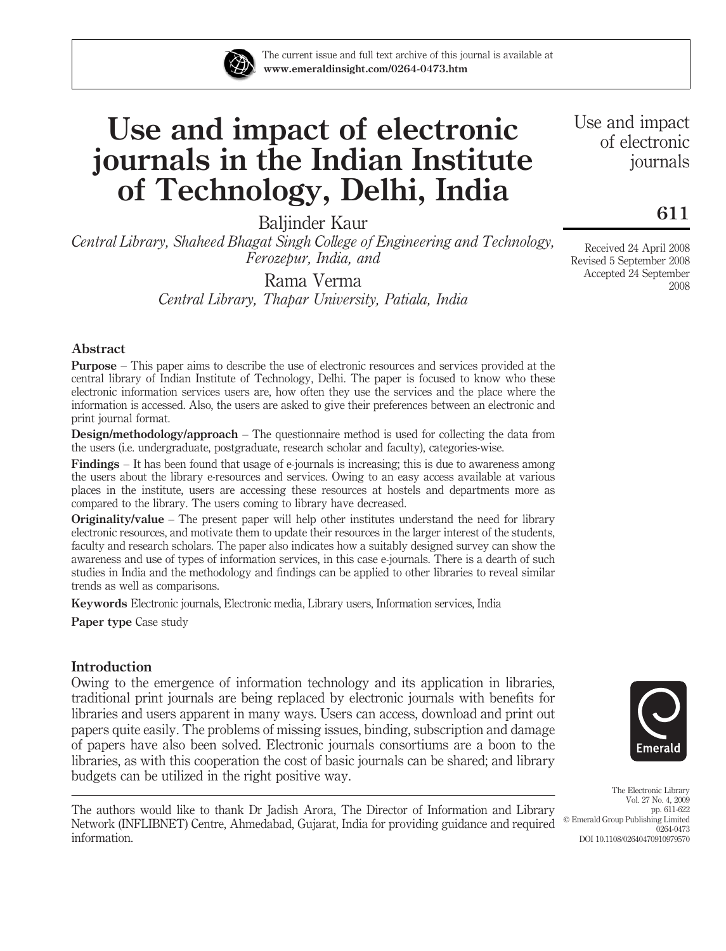

The current issue and full text archive of this journal is available at www.emeraldinsight.com/0264-0473.htm

# Use and impact of electronic journals in the Indian Institute of Technology, Delhi, India

Baljinder Kaur

Central Library, Shaheed Bhagat Singh College of Engineering and Technology, Ferozepur, India, and

> Rama Verma Central Library, Thapar University, Patiala, India

Abstract

Purpose – This paper aims to describe the use of electronic resources and services provided at the central library of Indian Institute of Technology, Delhi. The paper is focused to know who these electronic information services users are, how often they use the services and the place where the information is accessed. Also, the users are asked to give their preferences between an electronic and print journal format.

**Design/methodology/approach** – The questionnaire method is used for collecting the data from the users (i.e. undergraduate, postgraduate, research scholar and faculty), categories-wise.

Findings – It has been found that usage of e-journals is increasing; this is due to awareness among the users about the library e-resources and services. Owing to an easy access available at various places in the institute, users are accessing these resources at hostels and departments more as compared to the library. The users coming to library have decreased.

**Originality/value** – The present paper will help other institutes understand the need for library electronic resources, and motivate them to update their resources in the larger interest of the students, faculty and research scholars. The paper also indicates how a suitably designed survey can show the awareness and use of types of information services, in this case e-journals. There is a dearth of such studies in India and the methodology and findings can be applied to other libraries to reveal similar trends as well as comparisons.

Keywords Electronic journals, Electronic media, Library users, Information services, India

Paper type Case study

# Introduction

Owing to the emergence of information technology and its application in libraries, traditional print journals are being replaced by electronic journals with benefits for libraries and users apparent in many ways. Users can access, download and print out papers quite easily. The problems of missing issues, binding, subscription and damage of papers have also been solved. Electronic journals consortiums are a boon to the libraries, as with this cooperation the cost of basic journals can be shared; and library budgets can be utilized in the right positive way.

The authors would like to thank Dr Jadish Arora, The Director of Information and Library Network (INFLIBNET) Centre, Ahmedabad, Gujarat, India for providing guidance and required information.

Use and impact of electronic journals

611

Received 24 April 2008 Revised 5 September 2008 Accepted 24 September 2008



The Electronic Library Vol. 27 No. 4, 2009 pp. 611-622 q Emerald Group Publishing Limited 0264-0473 DOI 10.1108/02640470910979570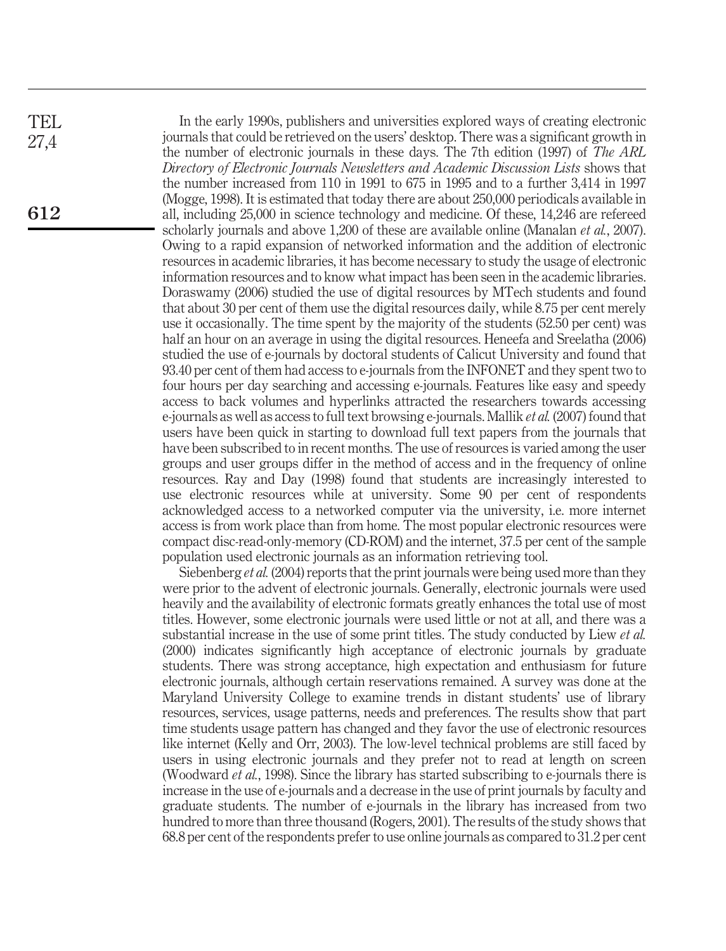TEL 27,4

612

In the early 1990s, publishers and universities explored ways of creating electronic journals that could be retrieved on the users' desktop. There was a significant growth in the number of electronic journals in these days. The 7th edition (1997) of The ARL Directory of Electronic Journals Newsletters and Academic Discussion Lists shows that the number increased from 110 in 1991 to 675 in 1995 and to a further 3,414 in 1997 (Mogge, 1998). It is estimated that today there are about 250,000 periodicals available in all, including 25,000 in science technology and medicine. Of these, 14,246 are refereed scholarly journals and above 1,200 of these are available online (Manalan *et al.*, 2007). Owing to a rapid expansion of networked information and the addition of electronic resources in academic libraries, it has become necessary to study the usage of electronic information resources and to know what impact has been seen in the academic libraries. Doraswamy (2006) studied the use of digital resources by MTech students and found that about 30 per cent of them use the digital resources daily, while 8.75 per cent merely use it occasionally. The time spent by the majority of the students (52.50 per cent) was half an hour on an average in using the digital resources. Heneefa and Sreelatha (2006) studied the use of e-journals by doctoral students of Calicut University and found that 93.40 per cent of them had access to e-journals from the INFONET and they spent two to four hours per day searching and accessing e-journals. Features like easy and speedy access to back volumes and hyperlinks attracted the researchers towards accessing e-journals as well as access to full text browsing e-journals. Mallik et al. (2007) found that users have been quick in starting to download full text papers from the journals that have been subscribed to in recent months. The use of resources is varied among the user groups and user groups differ in the method of access and in the frequency of online resources. Ray and Day (1998) found that students are increasingly interested to use electronic resources while at university. Some 90 per cent of respondents acknowledged access to a networked computer via the university, i.e. more internet access is from work place than from home. The most popular electronic resources were compact disc-read-only-memory (CD-ROM) and the internet, 37.5 per cent of the sample population used electronic journals as an information retrieving tool.

Siebenberg *et al.* (2004) reports that the print journals were being used more than they were prior to the advent of electronic journals. Generally, electronic journals were used heavily and the availability of electronic formats greatly enhances the total use of most titles. However, some electronic journals were used little or not at all, and there was a substantial increase in the use of some print titles. The study conducted by Liew *et al.* (2000) indicates significantly high acceptance of electronic journals by graduate students. There was strong acceptance, high expectation and enthusiasm for future electronic journals, although certain reservations remained. A survey was done at the Maryland University College to examine trends in distant students' use of library resources, services, usage patterns, needs and preferences. The results show that part time students usage pattern has changed and they favor the use of electronic resources like internet (Kelly and Orr, 2003). The low-level technical problems are still faced by users in using electronic journals and they prefer not to read at length on screen (Woodward et al., 1998). Since the library has started subscribing to e-journals there is increase in the use of e-journals and a decrease in the use of print journals by faculty and graduate students. The number of e-journals in the library has increased from two hundred to more than three thousand (Rogers, 2001). The results of the study shows that 68.8 per cent of the respondents prefer to use online journals as compared to 31.2 per cent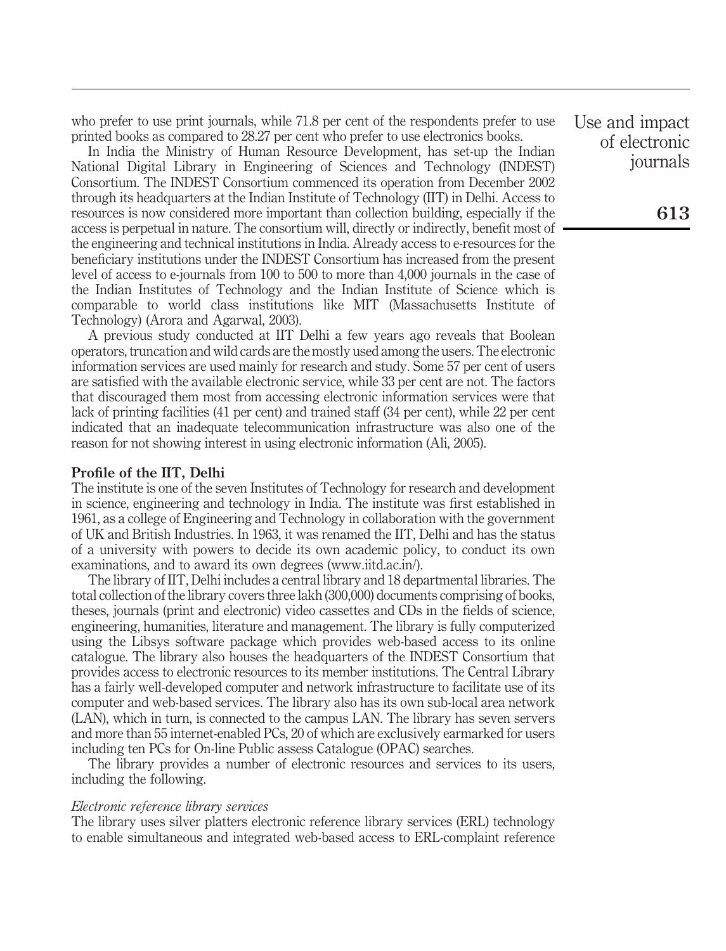who prefer to use print journals, while 71.8 per cent of the respondents prefer to use printed books as compared to 28.27 per cent who prefer to use electronics books.

In India the Ministry of Human Resource Development, has set-up the Indian National Digital Library in Engineering of Sciences and Technology (INDEST) Consortium. The INDEST Consortium commenced its operation from December 2002 through its headquarters at the Indian Institute of Technology (IIT) in Delhi. Access to resources is now considered more important than collection building, especially if the access is perpetual in nature. The consortium will, directly or indirectly, benefit most of the engineering and technical institutions in India. Already access to e-resources for the beneficiary institutions under the INDEST Consortium has increased from the present level of access to e-journals from 100 to 500 to more than 4,000 journals in the case of the Indian Institutes of Technology and the Indian Institute of Science which is comparable to world class institutions like MIT (Massachusetts Institute of Technology) (Arora and Agarwal, 2003).

A previous study conducted at IIT Delhi a few years ago reveals that Boolean operators, truncation and wild cards are the mostly used among the users. The electronic information services are used mainly for research and study. Some 57 per cent of users are satisfied with the available electronic service, while 33 per cent are not. The factors that discouraged them most from accessing electronic information services were that lack of printing facilities (41 per cent) and trained staff (34 per cent), while 22 per cent indicated that an inadequate telecommunication infrastructure was also one of the reason for not showing interest in using electronic information (Ali, 2005).

## Profile of the IIT, Delhi

The institute is one of the seven Institutes of Technology for research and development in science, engineering and technology in India. The institute was first established in 1961, as a college of Engineering and Technology in collaboration with the government of UK and British Industries. In 1963, it was renamed the IIT, Delhi and has the status of a university with powers to decide its own academic policy, to conduct its own examinations, and to award its own degrees (www.iitd.ac.in/).

The library of IIT, Delhi includes a central library and 18 departmental libraries. The total collection of the library covers three lakh (300,000) documents comprising of books, theses, journals (print and electronic) video cassettes and CDs in the fields of science, engineering, humanities, literature and management. The library is fully computerized using the Libsys software package which provides web-based access to its online catalogue. The library also houses the headquarters of the INDEST Consortium that provides access to electronic resources to its member institutions. The Central Library has a fairly well-developed computer and network infrastructure to facilitate use of its computer and web-based services. The library also has its own sub-local area network (LAN), which in turn, is connected to the campus LAN. The library has seven servers and more than 55 internet-enabled PCs, 20 of which are exclusively earmarked for users including ten PCs for On-line Public assess Catalogue (OPAC) searches.

The library provides a number of electronic resources and services to its users, including the following.

## Electronic reference library services

The library uses silver platters electronic reference library services (ERL) technology to enable simultaneous and integrated web-based access to ERL-complaint reference Use and impact of electronic journals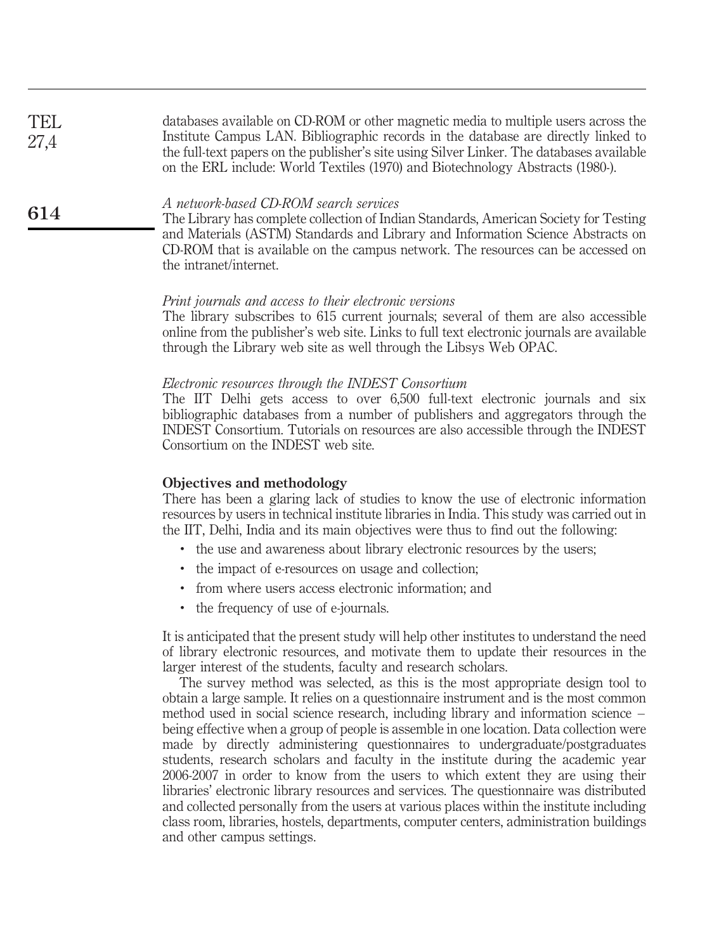- databases available on CD-ROM or other magnetic media to multiple users across the Institute Campus LAN. Bibliographic records in the database are directly linked to the full-text papers on the publisher's site using Silver Linker. The databases available on the ERL include: World Textiles (1970) and Biotechnology Abstracts (1980-). TEL 27,4
- A network-based CD-ROM search services The Library has complete collection of Indian Standards, American Society for Testing and Materials (ASTM) Standards and Library and Information Science Abstracts on CD-ROM that is available on the campus network. The resources can be accessed on the intranet/internet. 614

## Print journals and access to their electronic versions

The library subscribes to 615 current journals; several of them are also accessible online from the publisher's web site. Links to full text electronic journals are available through the Library web site as well through the Libsys Web OPAC.

## Electronic resources through the INDEST Consortium

The IIT Delhi gets access to over 6,500 full-text electronic journals and six bibliographic databases from a number of publishers and aggregators through the INDEST Consortium. Tutorials on resources are also accessible through the INDEST Consortium on the INDEST web site.

#### Objectives and methodology

There has been a glaring lack of studies to know the use of electronic information resources by users in technical institute libraries in India. This study was carried out in the IIT, Delhi, India and its main objectives were thus to find out the following:

- . the use and awareness about library electronic resources by the users;
- . the impact of e-resources on usage and collection;
- . from where users access electronic information; and
- . the frequency of use of e-journals.

It is anticipated that the present study will help other institutes to understand the need of library electronic resources, and motivate them to update their resources in the larger interest of the students, faculty and research scholars.

The survey method was selected, as this is the most appropriate design tool to obtain a large sample. It relies on a questionnaire instrument and is the most common method used in social science research, including library and information science – being effective when a group of people is assemble in one location. Data collection were made by directly administering questionnaires to undergraduate/postgraduates students, research scholars and faculty in the institute during the academic year 2006-2007 in order to know from the users to which extent they are using their libraries' electronic library resources and services. The questionnaire was distributed and collected personally from the users at various places within the institute including class room, libraries, hostels, departments, computer centers, administration buildings and other campus settings.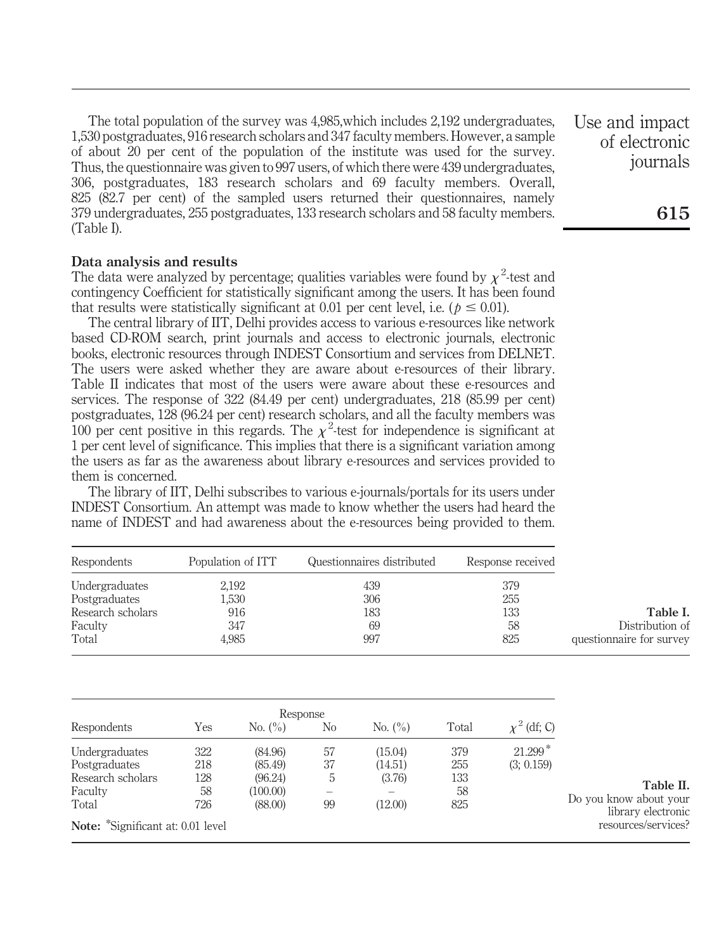The total population of the survey was 4,985,which includes 2,192 undergraduates, 1,530 postgraduates, 916 research scholars and 347 faculty members. However, a sample of about 20 per cent of the population of the institute was used for the survey. Thus, the questionnaire was given to 997 users, of which there were 439 undergraduates, 306, postgraduates, 183 research scholars and 69 faculty members. Overall, 825 (82.7 per cent) of the sampled users returned their questionnaires, namely 379 undergraduates, 255 postgraduates, 133 research scholars and 58 faculty members. (Table I).

# Data analysis and results

The data were analyzed by percentage; qualities variables were found by  $\chi^2$ -test and contingency Coefficient for statistically significant among the users. It has been found that results were statistically significant at 0.01 per cent level, i.e. ( $p \le 0.01$ ).

The central library of IIT, Delhi provides access to various e-resources like network based CD-ROM search, print journals and access to electronic journals, electronic books, electronic resources through INDEST Consortium and services from DELNET. The users were asked whether they are aware about e-resources of their library. Table II indicates that most of the users were aware about these e-resources and services. The response of 322 (84.49 per cent) undergraduates, 218 (85.99 per cent) postgraduates, 128 (96.24 per cent) research scholars, and all the faculty members was 100 per cent positive in this regards. The  $\chi^2$ -test for independence is significant at 1 per cent level of significance. This implies that there is a significant variation among the users as far as the awareness about library e-resources and services provided to them is concerned.

The library of IIT, Delhi subscribes to various e-journals/portals for its users under INDEST Consortium. An attempt was made to know whether the users had heard the name of INDEST and had awareness about the e-resources being provided to them.

| Respondents       | Population of ITT | Questionnaires distributed | Response received |                          |
|-------------------|-------------------|----------------------------|-------------------|--------------------------|
| Undergraduates    | 2,192             | 439                        | 379               |                          |
| Postgraduates     | 1,530             | 306                        | 255               |                          |
| Research scholars | 916               | 183                        | 133               | Table I.                 |
| Faculty           | 347               | 69                         | 58                | Distribution of          |
| Total             | 4.985             | 997                        | 825               | questionnaire for survey |

| Respondents                                                              | Yes                            | Response<br>No. $(\% )$                              | No                  | No. $(\% )$                             | Total                          | $\chi^2$ (df; C)        |                                                           |
|--------------------------------------------------------------------------|--------------------------------|------------------------------------------------------|---------------------|-----------------------------------------|--------------------------------|-------------------------|-----------------------------------------------------------|
| Undergraduates<br>Postgraduates<br>Research scholars<br>Faculty<br>Total | 322<br>218<br>128<br>58<br>726 | (84.96)<br>(85.49)<br>(96.24)<br>(100.00)<br>(88.00) | 57<br>37<br>5<br>99 | (15.04)<br>(14.51)<br>(3.76)<br>(12.00) | 379<br>255<br>133<br>58<br>825 | $21.299*$<br>(3; 0.159) | Table II.<br>Do you know about your<br>library electronic |
| <b>Note:</b> "Significant at: 0.01 level                                 |                                |                                                      |                     |                                         |                                |                         | resources/services?                                       |

Use and impact of electronic journals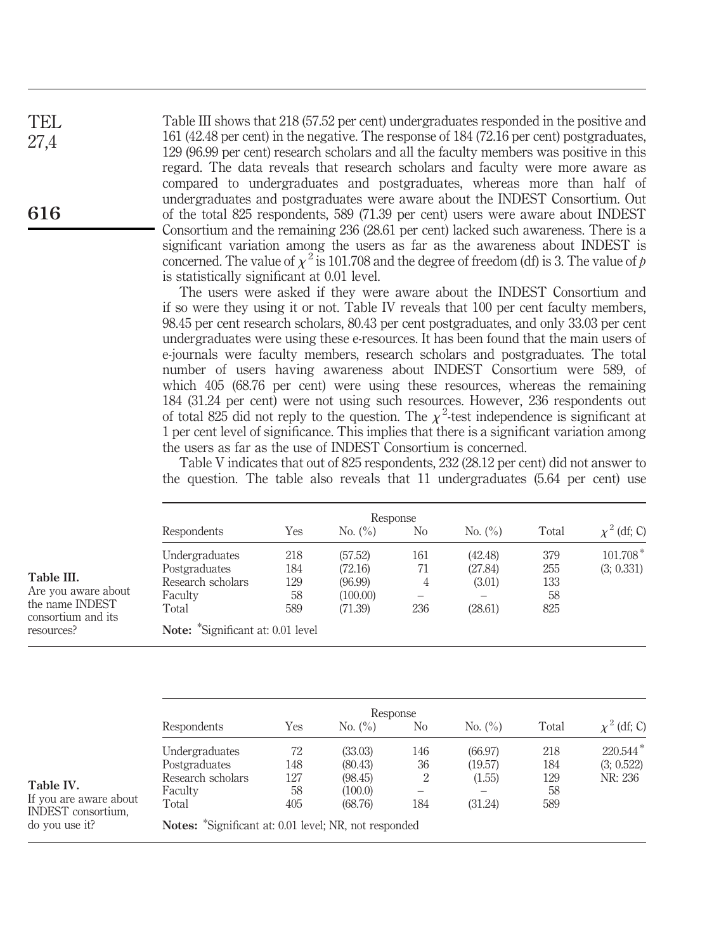Table III shows that 218 (57.52 per cent) undergraduates responded in the positive and 161 (42.48 per cent) in the negative. The response of 184 (72.16 per cent) postgraduates, 129 (96.99 per cent) research scholars and all the faculty members was positive in this regard. The data reveals that research scholars and faculty were more aware as compared to undergraduates and postgraduates, whereas more than half of undergraduates and postgraduates were aware about the INDEST Consortium. Out of the total 825 respondents, 589 (71.39 per cent) users were aware about INDEST Consortium and the remaining 236 (28.61 per cent) lacked such awareness. There is a significant variation among the users as far as the awareness about INDEST is concerned. The value of  $\chi^2$  is 101.708 and the degree of freedom (df) is 3. The value of p is statistically significant at 0.01 level.

The users were asked if they were aware about the INDEST Consortium and if so were they using it or not. Table IV reveals that 100 per cent faculty members, 98.45 per cent research scholars, 80.43 per cent postgraduates, and only 33.03 per cent undergraduates were using these e-resources. It has been found that the main users of e-journals were faculty members, research scholars and postgraduates. The total number of users having awareness about INDEST Consortium were 589, of which 405 (68.76 per cent) were using these resources, whereas the remaining 184 (31.24 per cent) were not using such resources. However, 236 respondents out of total 825 did not reply to the question. The  $\chi^2$ -test independence is significant at 1 per cent level of significance. This implies that there is a significant variation among the users as far as the use of INDEST Consortium is concerned.

Table V indicates that out of 825 respondents, 232 (28.12 per cent) did not answer to the question. The table also reveals that 11 undergraduates (5.64 per cent) use

| Respondents       | Yes | No. $(\% )$ | Response<br>No | No. $(\% )$ | Total | (df; C)    |
|-------------------|-----|-------------|----------------|-------------|-------|------------|
| Undergraduates    | 218 | (57.52)     | 161            | (42.48)     | 379   | 101.708*   |
| Postgraduates     | 184 | (72.16)     | 71             | (27.84)     | 255   | (3; 0.331) |
| Research scholars | 129 | (96.99)     | 4              | (3.01)      | 133   |            |
| Faculty           | 58  | (100.00)    |                |             | 58    |            |
| Total             | 589 | (71.39)     | 236            | (28.61)     | 825   |            |

Table III.

Are you aware about the name INDEST consortium and its resources?

|                                              |                                                       |     |             | Response |             |       |                  |
|----------------------------------------------|-------------------------------------------------------|-----|-------------|----------|-------------|-------|------------------|
|                                              | Respondents                                           | Yes | No. $(\% )$ | No       | No. $(\% )$ | Total | $\chi^2$ (df; C) |
|                                              | Undergraduates                                        | 72  | (33.03)     | 146      | (66.97)     | 218   | $220.544$ *      |
| Table IV.                                    | Postgraduates                                         | 148 | (80.43)     | 36       | (19.57)     | 184   | (3; 0.522)       |
|                                              | Research scholars                                     | 127 | (98.45)     | 2        | (1.55)      | 129   | NR: 236          |
|                                              | Faculty                                               | 58  | (100.0)     |          |             | 58    |                  |
| If you are aware about<br>INDEST consortium. | Total                                                 | 405 | (68.76)     | 184      | (31.24)     | 589   |                  |
| do you use it?                               | Notes: "Significant at: 0.01 level; NR, not responded |     |             |          |             |       |                  |

TEL 27,4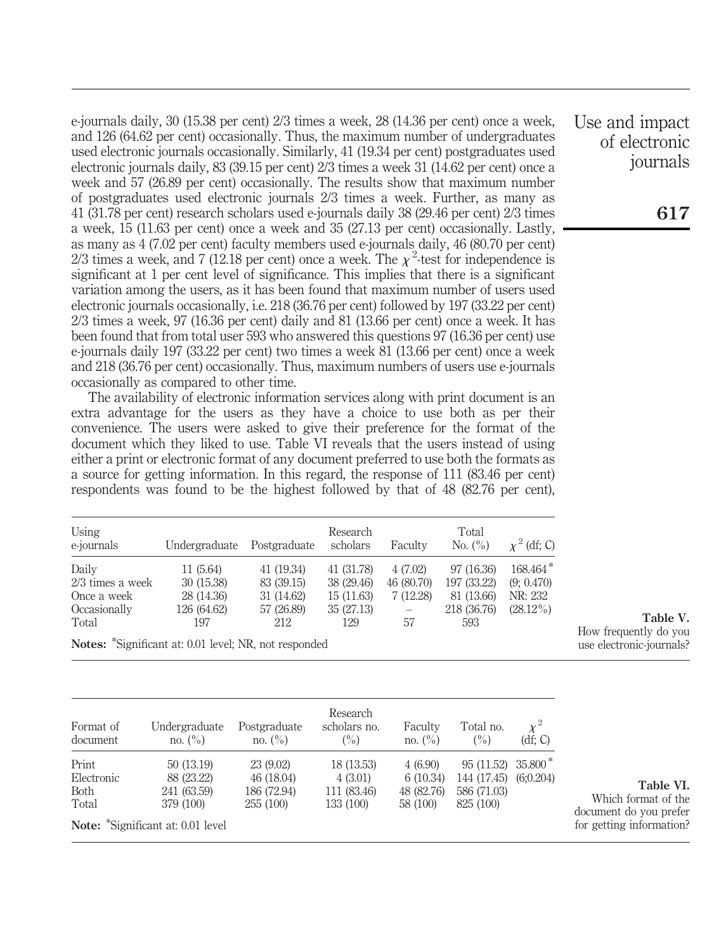e-journals daily, 30 (15.38 per cent) 2/3 times a week, 28 (14.36 per cent) once a week, and 126 (64.62 per cent) occasionally. Thus, the maximum number of undergraduates used electronic journals occasionally. Similarly, 41 (19.34 per cent) postgraduates used electronic journals daily, 83 (39.15 per cent) 2/3 times a week 31 (14.62 per cent) once a week and 57 (26.89 per cent) occasionally. The results show that maximum number of postgraduates used electronic journals 2/3 times a week. Further, as many as 41 (31.78 per cent) research scholars used e-journals daily 38 (29.46 per cent) 2/3 times a week, 15 (11.63 per cent) once a week and 35 (27.13 per cent) occasionally. Lastly, as many as 4 (7.02 per cent) faculty members used e-journals daily, 46 (80.70 per cent) 2/3 times a week, and 7 (12.18 per cent) once a week. The  $\chi^2$ -test for independence is significant at 1 per cent level of significance. This implies that there is a significant variation among the users, as it has been found that maximum number of users used electronic journals occasionally, i.e. 218 (36.76 per cent) followed by 197 (33.22 per cent) 2/3 times a week, 97 (16.36 per cent) daily and 81 (13.66 per cent) once a week. It has been found that from total user 593 who answered this questions 97 (16.36 per cent) use e-journals daily 197 (33.22 per cent) two times a week 81 (13.66 per cent) once a week and 218 (36.76 per cent) occasionally. Thus, maximum numbers of users use e-journals occasionally as compared to other time.

The availability of electronic information services along with print document is an extra advantage for the users as they have a choice to use both as per their convenience. The users were asked to give their preference for the format of the document which they liked to use. Table VI reveals that the users instead of using either a print or electronic format of any document preferred to use both the formats as a source for getting information. In this regard, the response of 111 (83.46 per cent) respondents was found to be the highest followed by that of 48 (82.76 per cent),

| Using<br>e-journals                                          | Undergraduate | Postgraduate | Research<br>scholars | Faculty    | Total<br>$\rm No.$ $\binom{0}{0}$ | $\chi^2$ (df; C) |
|--------------------------------------------------------------|---------------|--------------|----------------------|------------|-----------------------------------|------------------|
| Daily                                                        | 11(5.64)      | 41(19.34)    | 41 (31.78)           | 4(7.02)    | 97 (16.36)                        | 168.464*         |
| $2/3$ times a week                                           | 30(15.38)     | 83 (39.15)   | 38 (29.46)           | 46 (80.70) | 197 (33.22)                       | (9; 0.470)       |
| Once a week                                                  | 28 (14.36)    | 31 (14.62)   | 15(11.63)            | 7(12.28)   | 81 (13.66)                        | NR: 232          |
| Occasionally                                                 | 126 (64.62)   | 57 (26.89)   | 35(27.13)            |            | 218 (36.76)                       | $(28.12\%)$      |
| Total                                                        | 197           | 212          | 129                  | 57         | 593                               |                  |
| <b>Notes:</b> "Significant at: 0.01 level: NR, not responded |               |              |                      |            |                                   |                  |

| Undergraduate<br>no. $(\% )$ | Postgraduate<br>no. $(\% )$ | Research<br>scholars no.<br>$\binom{0}{0}$ | Faculty<br>no. $\binom{0}{0}$ | Total no.<br>$\binom{0}{0}$ | $x^2$<br>(df; C)    |
|------------------------------|-----------------------------|--------------------------------------------|-------------------------------|-----------------------------|---------------------|
| 50 (13.19)                   | 23 (9.02)                   | 18 (13.53)                                 | 4(6.90)                       |                             | 35.800 <sup>*</sup> |
| 88 (23.22)                   | 46 (18.04)                  | 4(3.01)                                    | 6(10.34)                      | 144 (17.45)                 | (6:0.204)           |
| 241 (63.59)                  | 186 (72.94)                 | 111 (83.46)                                | 48 (82.76)                    | 586 (71.03)                 |                     |
| 379 (100)                    | 255 (100)                   | 133 (100)                                  | 58 (100)                      | 825 (100)                   |                     |
|                              |                             |                                            |                               |                             | 95 (11.52)          |

Use and impact of electronic journals

617

Table V. How frequently do you use electronic-journals?

Table VI. Which format of the document do you prefer for getting information?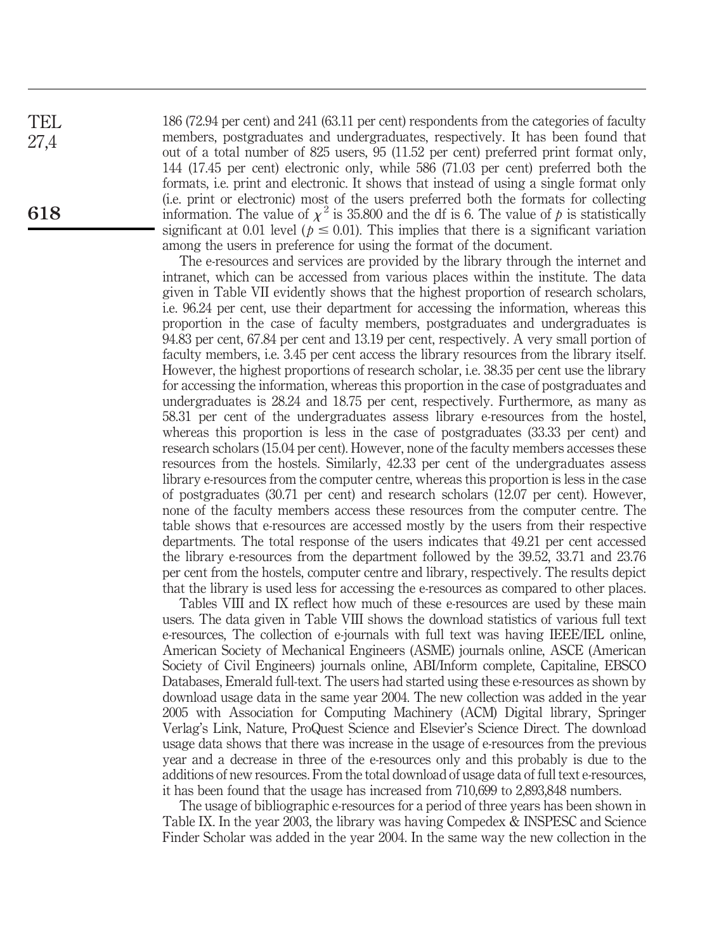TEL 27,4

618

186 (72.94 per cent) and 241 (63.11 per cent) respondents from the categories of faculty members, postgraduates and undergraduates, respectively. It has been found that out of a total number of 825 users, 95 (11.52 per cent) preferred print format only, 144 (17.45 per cent) electronic only, while 586 (71.03 per cent) preferred both the formats, i.e. print and electronic. It shows that instead of using a single format only (i.e. print or electronic) most of the users preferred both the formats for collecting information. The value of  $\chi^2$  is 35.800 and the df is 6. The value of p is statistically significant at 0.01 level ( $p \leq 0.01$ ). This implies that there is a significant variation among the users in preference for using the format of the document.

The e-resources and services are provided by the library through the internet and intranet, which can be accessed from various places within the institute. The data given in Table VII evidently shows that the highest proportion of research scholars, i.e. 96.24 per cent, use their department for accessing the information, whereas this proportion in the case of faculty members, postgraduates and undergraduates is 94.83 per cent, 67.84 per cent and 13.19 per cent, respectively. A very small portion of faculty members, i.e. 3.45 per cent access the library resources from the library itself. However, the highest proportions of research scholar, i.e. 38.35 per cent use the library for accessing the information, whereas this proportion in the case of postgraduates and undergraduates is 28.24 and 18.75 per cent, respectively. Furthermore, as many as 58.31 per cent of the undergraduates assess library e-resources from the hostel, whereas this proportion is less in the case of postgraduates (33.33 per cent) and research scholars (15.04 per cent). However, none of the faculty members accesses these resources from the hostels. Similarly, 42.33 per cent of the undergraduates assess library e-resources from the computer centre, whereas this proportion is less in the case of postgraduates (30.71 per cent) and research scholars (12.07 per cent). However, none of the faculty members access these resources from the computer centre. The table shows that e-resources are accessed mostly by the users from their respective departments. The total response of the users indicates that 49.21 per cent accessed the library e-resources from the department followed by the 39.52, 33.71 and 23.76 per cent from the hostels, computer centre and library, respectively. The results depict that the library is used less for accessing the e-resources as compared to other places.

Tables VIII and IX reflect how much of these e-resources are used by these main users. The data given in Table VIII shows the download statistics of various full text e-resources, The collection of e-journals with full text was having IEEE/IEL online, American Society of Mechanical Engineers (ASME) journals online, ASCE (American Society of Civil Engineers) journals online, ABI/Inform complete, Capitaline, EBSCO Databases, Emerald full-text. The users had started using these e-resources as shown by download usage data in the same year 2004. The new collection was added in the year 2005 with Association for Computing Machinery (ACM) Digital library, Springer Verlag's Link, Nature, ProQuest Science and Elsevier's Science Direct. The download usage data shows that there was increase in the usage of e-resources from the previous year and a decrease in three of the e-resources only and this probably is due to the additions of new resources. From the total download of usage data of full text e-resources, it has been found that the usage has increased from 710,699 to 2,893,848 numbers.

The usage of bibliographic e-resources for a period of three years has been shown in Table IX. In the year 2003, the library was having Compedex & INSPESC and Science Finder Scholar was added in the year 2004. In the same way the new collection in the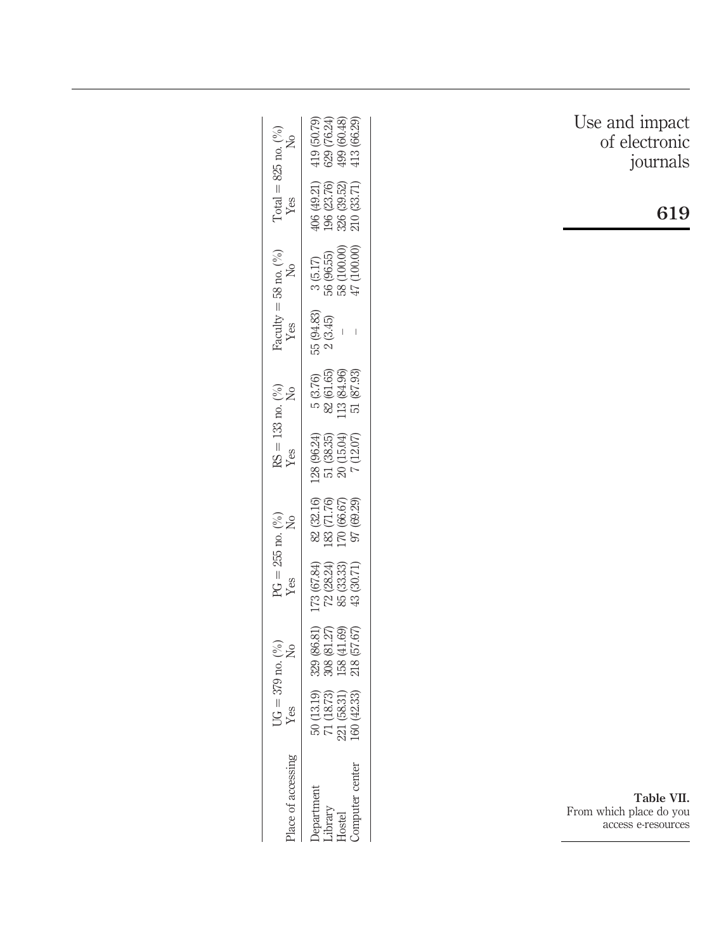| Use and impact<br>of electronic<br>journals                 | $\begin{array}{c} 419\ (50.79) \\ 629\ (76.24) \\ 499\ (60.48) \\ 413\ (66.29) \end{array}$   | Total = $825$ no. $(^{9}_{6})$<br>$\mathcal{L}_{\mathsf{O}}$ |
|-------------------------------------------------------------|-----------------------------------------------------------------------------------------------|--------------------------------------------------------------|
| 619                                                         | $\begin{array}{c} 406\ (49.21)\\ 196\ (23.76)\\ 326\ (39.52)\\ 210\ (33.71) \end{array}$      | Yes                                                          |
|                                                             | $\begin{array}{c} 3\ (5.17)\\ 56\ (96.55)\\ 58\ (100.00)\\ 47\ (100.00) \end{array}$          | Faculty = 58 no. $(%$<br>ż                                   |
|                                                             | $\frac{55 (94.83)}{2 (3.45)}$<br>$\overline{\phantom{a}}$                                     | Yes                                                          |
|                                                             | $\begin{array}{c} 5 \ (3.76) \\ 82 \ (61.65) \\ 113 \ (84.96) \end{array}$<br>51 (87.93)      | $\gtrsim$                                                    |
|                                                             | 128 (96.24)<br>51 (38.35)<br>20 (15.04)<br>7 (12.07)                                          | $RS = 133$ no. $(^{9}/_{0})$<br>Yes                          |
|                                                             | $\begin{array}{c} 82 \ (32.16) \\ 183 \ (71.76) \\ 170 \ (66.67) \\ 97 \ (69.29) \end{array}$ | $\stackrel{\circ}{\simeq}$                                   |
|                                                             | $\begin{array}{c} 173\ (67.84)\\ 72\ (28.24)\\ 85\ (33.33)\\ 43\ (30.71) \end{array}$         | $PG = 255$ no. $(^{\circ}\!\!/\!\circ)$<br>Yes               |
|                                                             | $\begin{array}{c} 329\ (86.81)\\ 308\ (81.27)\\ 158\ (41.69)\\ 218\ (57.67)\end{array}$       | $\overline{R}$                                               |
|                                                             | 03.19<br>08.73<br>08.333<br>09.333<br>8580                                                    | $UG = 379$ no. $(^{\circ}\!\!/\!\!\circ)$<br>Yes             |
| Table VII.<br>From which place do you<br>access e-resources | Computer center<br>epartment<br>ibrary<br>Hostel                                              | Place of accessing                                           |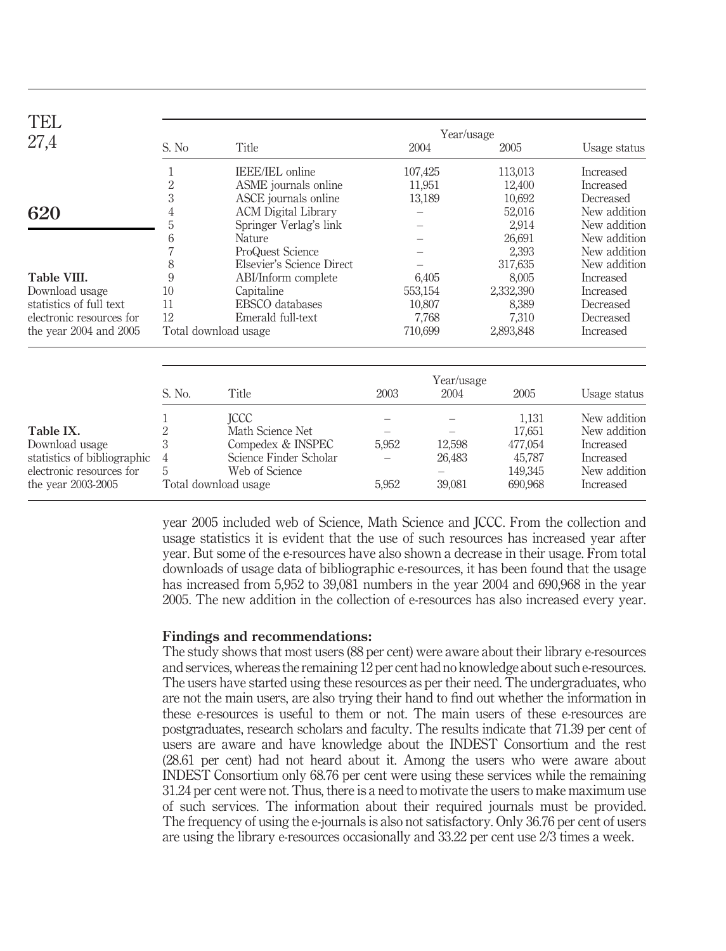| TEL                         |                |                            |       | Year/usage |           |                              |
|-----------------------------|----------------|----------------------------|-------|------------|-----------|------------------------------|
| 27,4                        | S. No          | Title                      |       | 2004       | 2005      | Usage status                 |
|                             | 1              | <b>IEEE/IEL</b> online     |       | 107,425    | 113,013   | Increased                    |
|                             | $\overline{2}$ | ASME journals online       |       | 11,951     | 12,400    | Increased                    |
|                             | 3              | ASCE journals online       |       | 13,189     | 10,692    | Decreased                    |
| 620                         | 4              | <b>ACM</b> Digital Library |       |            | 52,016    | New addition                 |
|                             | 5              | Springer Verlag's link     |       |            | 2,914     | New addition                 |
|                             | 6              | Nature                     |       |            | 26.691    | New addition                 |
|                             | 7              | ProQuest Science           |       |            | 2,393     | New addition<br>New addition |
|                             | 8              | Elsevier's Science Direct  |       |            | 317,635   |                              |
| Table VIII.                 | 9              | ABI/Inform complete        |       | 6,405      | 8.005     | Increased                    |
| Download usage              | 10             | Capitaline                 |       | 553,154    | 2,332,390 | Increased                    |
| statistics of full text     | 11             | EBSCO databases            |       | 10,807     | 8,389     | Decreased                    |
| electronic resources for    | 12             | Emerald full-text          |       | 7,768      | 7,310     | Decreased                    |
| the year 2004 and 2005      |                | Total download usage       |       | 710,699    | 2,893,848 | Increased                    |
|                             |                |                            |       | Year/usage |           |                              |
|                             | S. No.         | Title                      | 2003  | 2004       | 2005      | Usage status                 |
|                             |                | <b>ICCC</b>                |       |            | 1.131     | New addition                 |
| Table IX.                   | $\overline{2}$ | Math Science Net           |       |            | 17.651    | New addition                 |
| Download usage              | 3              | Compedex & INSPEC          | 5,952 | 12.598     | 477,054   | Increased                    |
| statistics of bibliographic | 4              | Science Finder Scholar     |       | 26,483     | 45,787    | Increased                    |
| electronic resources for    | 5              | Web of Science             |       |            | 149.345   | New addition                 |
| the year 2003-2005          |                | Total download usage       | 5,952 | 39,081     | 690,968   | Increased                    |

year 2005 included web of Science, Math Science and JCCC. From the collection and usage statistics it is evident that the use of such resources has increased year after year. But some of the e-resources have also shown a decrease in their usage. From total downloads of usage data of bibliographic e-resources, it has been found that the usage has increased from 5,952 to 39,081 numbers in the year 2004 and 690,968 in the year 2005. The new addition in the collection of e-resources has also increased every year.

## Findings and recommendations:

The study shows that most users (88 per cent) were aware about their library e-resources and services, whereas the remaining 12 per cent had no knowledge about such e-resources. The users have started using these resources as per their need. The undergraduates, who are not the main users, are also trying their hand to find out whether the information in these e-resources is useful to them or not. The main users of these e-resources are postgraduates, research scholars and faculty. The results indicate that 71.39 per cent of users are aware and have knowledge about the INDEST Consortium and the rest (28.61 per cent) had not heard about it. Among the users who were aware about INDEST Consortium only 68.76 per cent were using these services while the remaining 31.24 per cent were not. Thus, there is a need to motivate the users to make maximum use of such services. The information about their required journals must be provided. The frequency of using the e-journals is also not satisfactory. Only 36.76 per cent of users are using the library e-resources occasionally and 33.22 per cent use 2/3 times a week.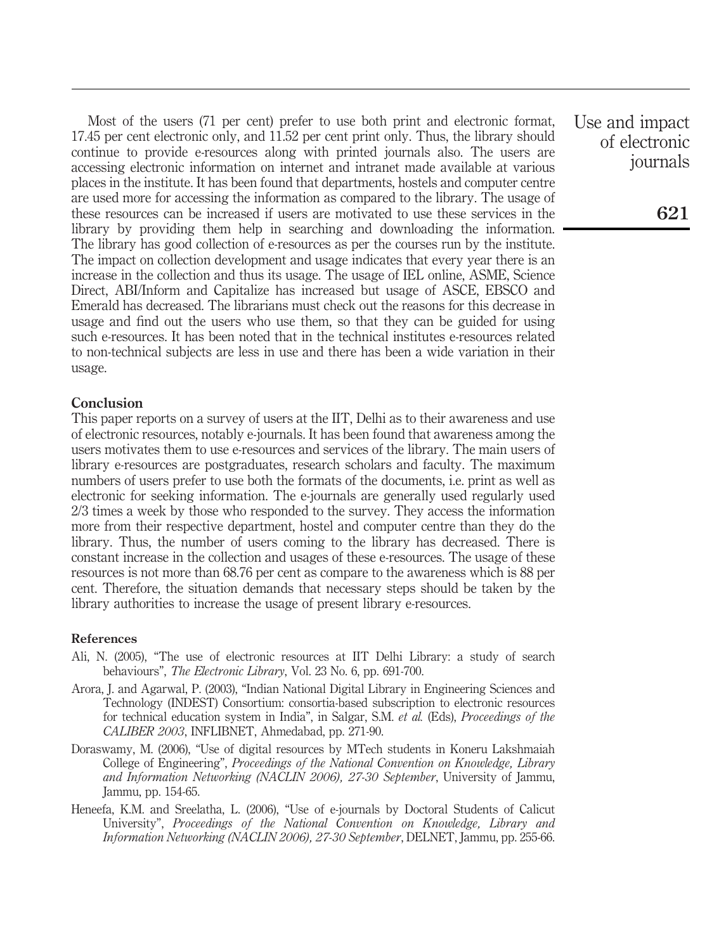Most of the users (71 per cent) prefer to use both print and electronic format, 17.45 per cent electronic only, and 11.52 per cent print only. Thus, the library should continue to provide e-resources along with printed journals also. The users are accessing electronic information on internet and intranet made available at various places in the institute. It has been found that departments, hostels and computer centre are used more for accessing the information as compared to the library. The usage of these resources can be increased if users are motivated to use these services in the library by providing them help in searching and downloading the information. The library has good collection of e-resources as per the courses run by the institute. The impact on collection development and usage indicates that every year there is an increase in the collection and thus its usage. The usage of IEL online, ASME, Science Direct, ABI/Inform and Capitalize has increased but usage of ASCE, EBSCO and Emerald has decreased. The librarians must check out the reasons for this decrease in usage and find out the users who use them, so that they can be guided for using such e-resources. It has been noted that in the technical institutes e-resources related to non-technical subjects are less in use and there has been a wide variation in their usage.

## Conclusion

This paper reports on a survey of users at the IIT, Delhi as to their awareness and use of electronic resources, notably e-journals. It has been found that awareness among the users motivates them to use e-resources and services of the library. The main users of library e-resources are postgraduates, research scholars and faculty. The maximum numbers of users prefer to use both the formats of the documents, i.e. print as well as electronic for seeking information. The e-journals are generally used regularly used 2/3 times a week by those who responded to the survey. They access the information more from their respective department, hostel and computer centre than they do the library. Thus, the number of users coming to the library has decreased. There is constant increase in the collection and usages of these e-resources. The usage of these resources is not more than 68.76 per cent as compare to the awareness which is 88 per cent. Therefore, the situation demands that necessary steps should be taken by the library authorities to increase the usage of present library e-resources.

## References

- Ali, N. (2005), "The use of electronic resources at IIT Delhi Library: a study of search behaviours", The Electronic Library, Vol. 23 No. 6, pp. 691-700.
- Arora, J. and Agarwal, P. (2003), "Indian National Digital Library in Engineering Sciences and Technology (INDEST) Consortium: consortia-based subscription to electronic resources for technical education system in India", in Salgar, S.M. et al. (Eds), Proceedings of the CALIBER 2003, INFLIBNET, Ahmedabad, pp. 271-90.
- Doraswamy, M. (2006), "Use of digital resources by MTech students in Koneru Lakshmaiah College of Engineering", Proceedings of the National Convention on Knowledge, Library and Information Networking (NACLIN 2006), 27-30 September, University of Jammu, Jammu, pp. 154-65.
- Heneefa, K.M. and Sreelatha, L. (2006), "Use of e-journals by Doctoral Students of Calicut University", Proceedings of the National Convention on Knowledge, Library and Information Networking (NACLIN 2006), 27-30 September, DELNET, Jammu, pp. 255-66.

Use and impact of electronic journals